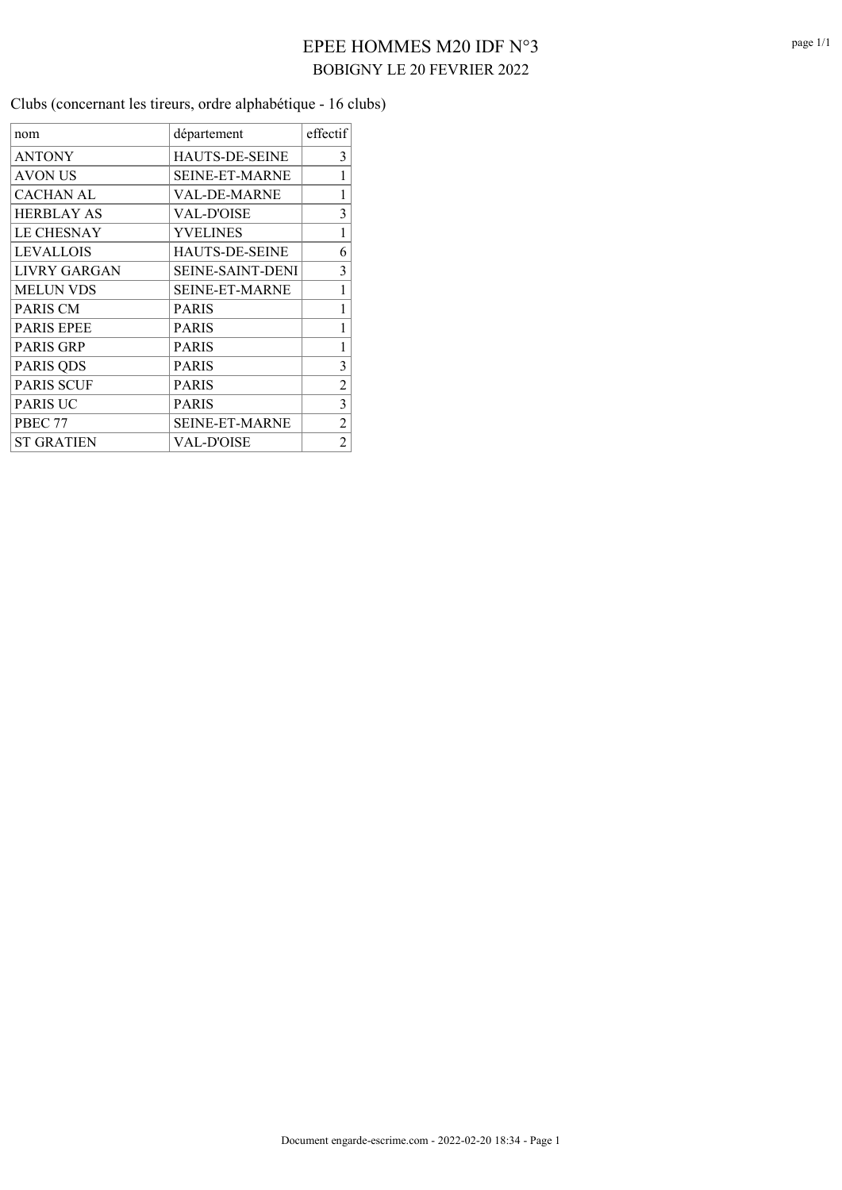Clubs (concernant les tireurs, ordre alphabétique - 16 clubs)

| nom               | département             | effectif       |
|-------------------|-------------------------|----------------|
| <b>ANTONY</b>     | <b>HAUTS-DE-SEINE</b>   | 3              |
| <b>AVON US</b>    | <b>SEINE-ET-MARNE</b>   | 1              |
| <b>CACHAN AL</b>  | VAL-DE-MARNE            | $\mathbf 1$    |
| <b>HERBLAY AS</b> | <b>VAL-D'OISE</b>       | 3              |
| <b>LE CHESNAY</b> | <b>YVELINES</b>         | 1              |
| <b>LEVALLOIS</b>  | <b>HAUTS-DE-SEINE</b>   | 6              |
| LIVRY GARGAN      | <b>SEINE-SAINT-DENI</b> | 3              |
| <b>MELUN VDS</b>  | <b>SEINE-ET-MARNE</b>   | 1              |
| <b>PARIS CM</b>   | <b>PARIS</b>            | $\mathbf 1$    |
| <b>PARIS EPEE</b> | <b>PARIS</b>            | 1              |
| <b>PARIS GRP</b>  | <b>PARIS</b>            | 1              |
| <b>PARIS QDS</b>  | <b>PARIS</b>            | 3              |
| <b>PARIS SCUF</b> | <b>PARIS</b>            | $\overline{2}$ |
| <b>PARIS UC</b>   | <b>PARIS</b>            | 3              |
| PBEC 77           | <b>SEINE-ET-MARNE</b>   | $\overline{c}$ |
| <b>ST GRATIEN</b> | VAL-D'OISE              | 2              |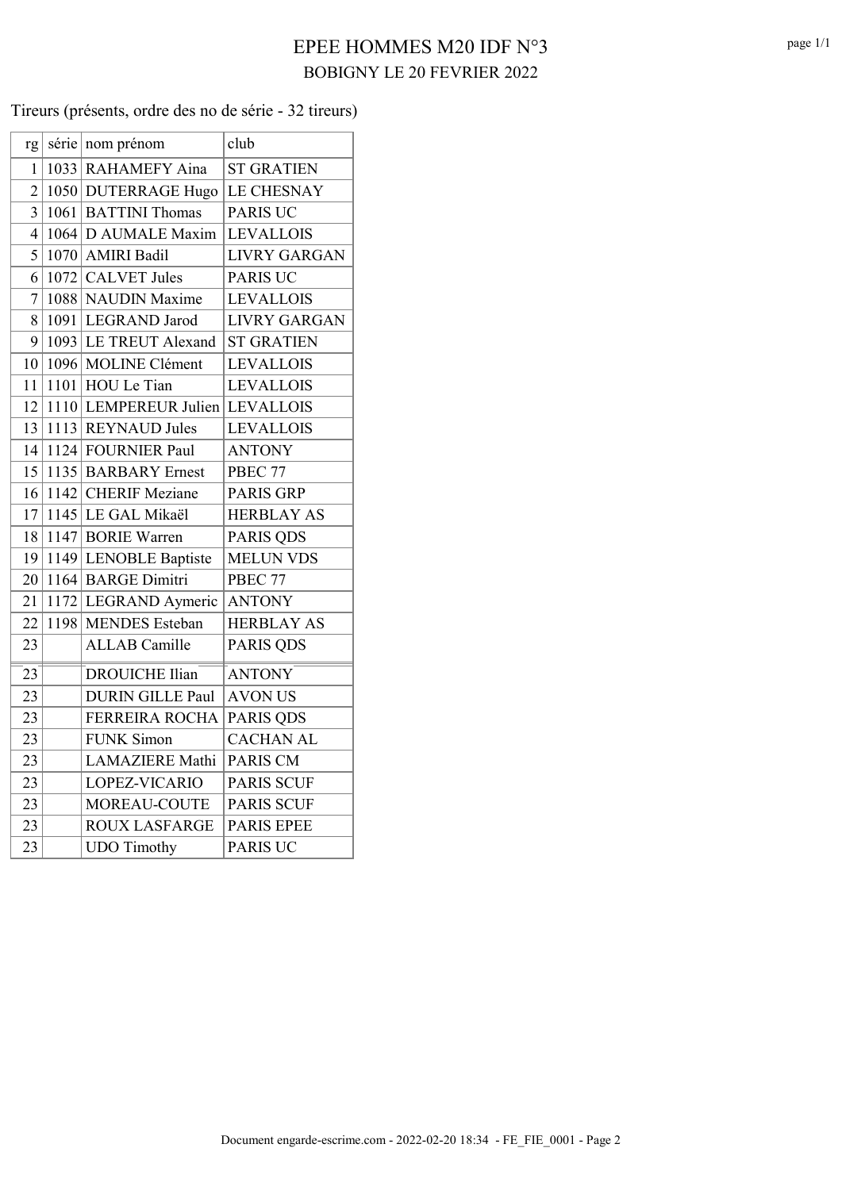Tireurs (présents, ordre des no de série - 32 tireurs)

| rg             | série | nom prénom              | club                |
|----------------|-------|-------------------------|---------------------|
| 1              | 1033  | RAHAMEFY Aina           | <b>ST GRATIEN</b>   |
| $\overline{2}$ |       | 1050 DUTERRAGE Hugo     | <b>LE CHESNAY</b>   |
| $\overline{3}$ | 1061  | <b>BATTINI</b> Thomas   | <b>PARIS UC</b>     |
| $\overline{4}$ |       | 1064 D AUMALE Maxim     | <b>LEVALLOIS</b>    |
| 5              |       | 1070   AMIRI Badil      | <b>LIVRY GARGAN</b> |
| 6              |       | 1072 CALVET Jules       | <b>PARIS UC</b>     |
| $\overline{7}$ |       | 1088 NAUDIN Maxime      | <b>LEVALLOIS</b>    |
| 8              |       | 1091 LEGRAND Jarod      | <b>LIVRY GARGAN</b> |
| 9              |       | 1093 LE TREUT Alexand   | <b>ST GRATIEN</b>   |
| 10             |       | 1096 MOLINE Clément     | <b>LEVALLOIS</b>    |
| 11             | 1101  | HOU Le Tian             | <b>LEVALLOIS</b>    |
| 12             |       | 1110 LEMPEREUR Julien   | <b>LEVALLOIS</b>    |
| 13             |       | $1113$ REYNAUD Jules    | <b>LEVALLOIS</b>    |
| 14             |       | 1124 FOURNIER Paul      | <b>ANTONY</b>       |
| 15             |       | 1135 BARBARY Ernest     | PBEC 77             |
| 16             |       | 1142 CHERIF Meziane     | <b>PARIS GRP</b>    |
| 17             |       | 1145 LE GAL Mikaël      | <b>HERBLAY AS</b>   |
| 18             |       | 1147 BORIE Warren       | PARIS QDS           |
| 19             |       | 1149 LENOBLE Baptiste   | <b>MELUN VDS</b>    |
| 20             | 1164  | <b>BARGE Dimitri</b>    | PBEC 77             |
| 21             | 1172  | LEGRAND Aymeric         | <b>ANTONY</b>       |
| 22             | 1198  | <b>MENDES</b> Esteban   | <b>HERBLAY AS</b>   |
| 23             |       | <b>ALLAB</b> Camille    | PARIS QDS           |
| 23             |       | <b>DROUICHE Ilian</b>   | <b>ANTONY</b>       |
| 23             |       | <b>DURIN GILLE Paul</b> | <b>AVON US</b>      |
| 23             |       | <b>FERREIRA ROCHA</b>   | PARIS QDS           |
| 23             |       | <b>FUNK Simon</b>       | <b>CACHAN AL</b>    |
| 23             |       | <b>LAMAZIERE</b> Mathi  | PARIS CM            |
| 23             |       | LOPEZ-VICARIO           | <b>PARIS SCUF</b>   |
| 23             |       | MOREAU-COUTE            | <b>PARIS SCUF</b>   |
| 23             |       | <b>ROUX LASFARGE</b>    | <b>PARIS EPEE</b>   |
| 23             |       | <b>UDO</b> Timothy      | <b>PARIS UC</b>     |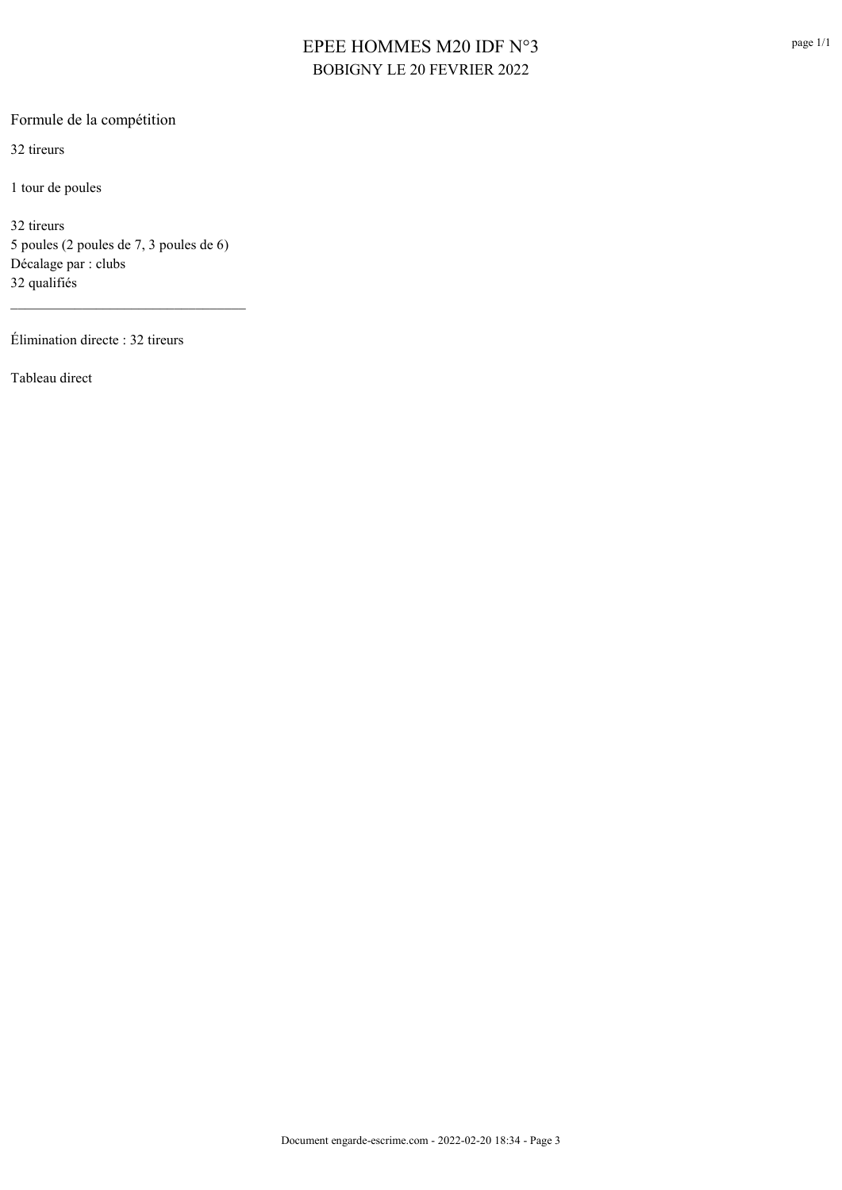Formule de la compétition

32 tireurs

1 tour de poules

32 tireurs 5 poules (2 poules de 7, 3 poules de 6) Décalage par : clubs 32 qualifiés

Élimination directe : 32 tireurs

Tableau direct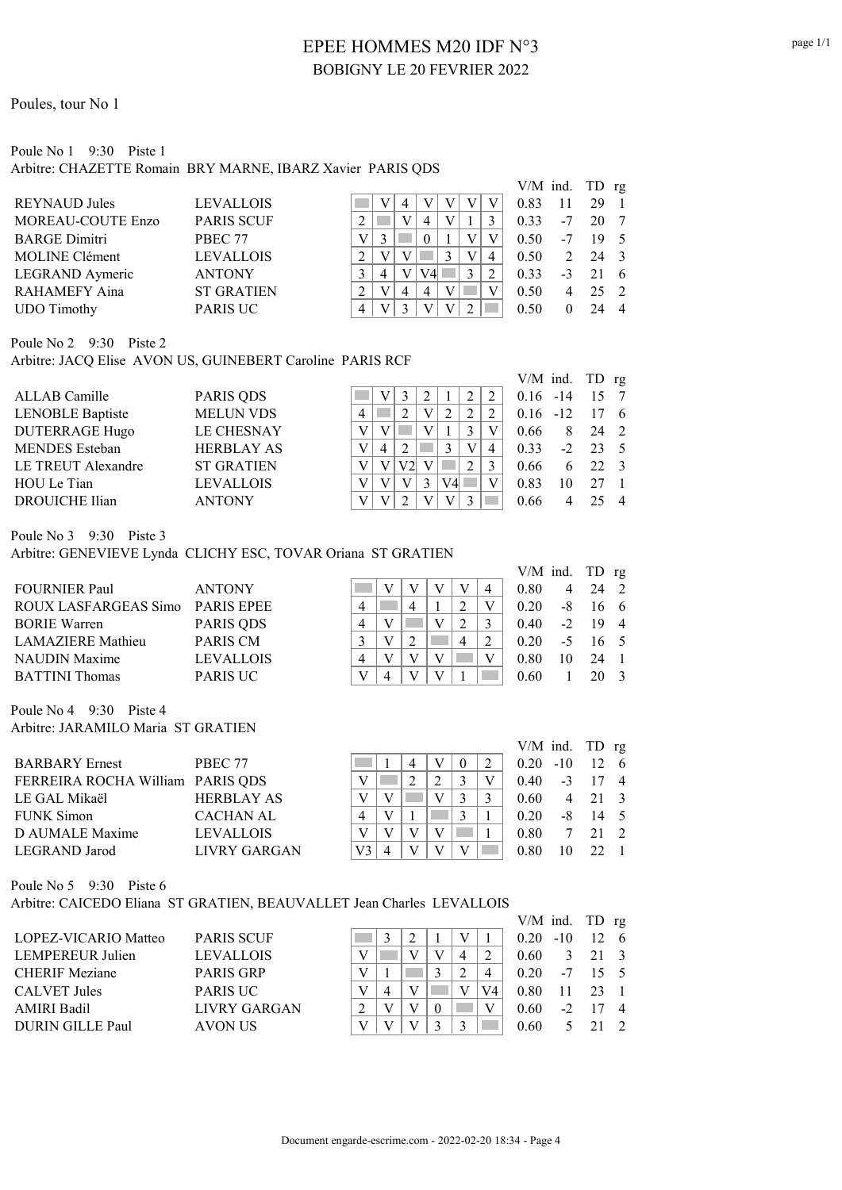#### Poules, tour No 1

#### Poule No 1 9:30 Piste 1 Arbitre: CHAZETTE Romain BRY MARNE, IBARZ Xavier PARIS QDS

| $\mu$ home. The homme bitt mind to, ibi he have the choose |                   |   |  |                |   |   |                  |      |              |  |
|------------------------------------------------------------|-------------------|---|--|----------------|---|---|------------------|------|--------------|--|
|                                                            |                   |   |  |                |   |   | $V/M$ ind. TD rg |      |              |  |
| <b>REYNAUD</b> Jules                                       | <b>LEVALLOIS</b>  |   |  |                |   |   | 0.83             | 11   | 29           |  |
| <b>MOREAU-COUTE Enzo</b>                                   | <b>PARIS SCUF</b> |   |  | 4              |   |   | 0.33             | $-7$ | 20           |  |
| <b>BARGE Dimitri</b>                                       | PBEC 77           |   |  | 0              |   |   | 0.50             | $-7$ | $19 \quad 5$ |  |
| <b>MOLINE</b> Clément                                      | <b>LEVALLOIS</b>  | າ |  |                | V | 4 | 0.50             |      | 24 3         |  |
| LEGRAND Aymeric                                            | <b>ANTONY</b>     |   |  | V4             | 3 |   | 0.33             | $-3$ | 21 6         |  |
| <b>RAHAMEFY Aina</b>                                       | <b>ST GRATIEN</b> |   |  | $\overline{4}$ |   |   | 0.50             |      | 25 2         |  |
| <b>UDO</b> Timothy                                         | <b>PARIS UC</b>   |   |  |                |   |   | 0.50             |      | 24           |  |
|                                                            |                   |   |  |                |   |   |                  |      |              |  |

Poule No 2 9:30 Piste 2

Arbitre: JACQ Elise AVON US, GUINEBERT Caroline PARIS RCF

|                         |                   |   |  |    |                | V/M ind. TD rg |      |              |                |
|-------------------------|-------------------|---|--|----|----------------|----------------|------|--------------|----------------|
| ALLAB Camille           | PARIS QDS         |   |  |    |                | $0.16 - 14$    |      | ۱٢,          |                |
| <b>LENOBLE Baptiste</b> | <b>MELUN VDS</b>  |   |  |    | 2              | $0.16 -12$     |      |              | - 6            |
| <b>DUTERRAGE Hugo</b>   | <b>LE CHESNAY</b> |   |  |    |                | 0.66           |      | 24           | $\overline{2}$ |
| <b>MENDES</b> Esteban   | <b>HERBLAY AS</b> | 4 |  |    | $\overline{4}$ | 0.33           | $-2$ | 23           | $\sim$ 5       |
| LE TREUT Alexandre      | <b>ST GRATIEN</b> |   |  |    |                | 0.66           |      | $22 \quad 3$ |                |
| HOU Le Tian             | <b>LEVALLOIS</b>  |   |  | V4 |                | 0.83           |      |              |                |
| <b>DROUICHE Ilian</b>   | <b>ANTONY</b>     |   |  |    |                | 0.66           |      |              |                |

Poule No 3 9:30 Piste 3

Arbitre: GENEVIEVE Lynda CLICHY ESC, TOVAR Oriana ST GRATIEN

|                                 |                  |  |   |  |   | $V/M$ ind. TD rg |      |              |                |
|---------------------------------|------------------|--|---|--|---|------------------|------|--------------|----------------|
| <b>FOURNIER Paul</b>            | <b>ANTONY</b>    |  |   |  | 4 | 0.80             |      | 24           | $\overline{2}$ |
| ROUX LASFARGEAS Simo PARIS EPEE |                  |  | 4 |  |   | 0.20             | -8   | 16 6         |                |
| <b>BORIE Warren</b>             | PARIS QDS        |  |   |  |   | 0.40             |      | $-2$ 19 4    |                |
| <b>LAMAZIERE</b> Mathieu        | PARIS CM         |  |   |  |   | 0.20             | $-5$ | $16 \quad 5$ |                |
| <b>NAUDIN Maxime</b>            | <b>LEVALLOIS</b> |  |   |  |   | 0.80             |      | 24           | $\overline{1}$ |
| <b>BATTINI</b> Thomas           | <b>PARIS UC</b>  |  |   |  |   | 0.60             |      |              | - 3            |

Poule No 4 9:30 Piste 4 Arbitre: JARAMILO Maria ST GRATIEN

|                                  |                     |  |  |  | $V/M$ ind. TD rg |                |              |     |
|----------------------------------|---------------------|--|--|--|------------------|----------------|--------------|-----|
| <b>BARBARY</b> Ernest            | PBEC 77             |  |  |  | 0.20             | $-10$          |              | - 6 |
| FERREIRA ROCHA William PARIS QDS |                     |  |  |  | 0.40             |                | $-3$ 17 4    |     |
| LE GAL Mikaël                    | <b>HERBLAY AS</b>   |  |  |  | $0.60^{\circ}$   | $\overline{4}$ | $21 \quad 3$ |     |
| <b>FUNK Simon</b>                | <b>CACHAN AL</b>    |  |  |  | 0.20             | -8             | $14 \quad 5$ |     |
| D AUMALE Maxime                  | <b>LEVALLOIS</b>    |  |  |  | $0.80^{\circ}$   |                |              |     |
| LEGRAND Jarod                    | <b>LIVRY GARGAN</b> |  |  |  | 0.80             |                | 22           |     |
|                                  |                     |  |  |  |                  |                |              |     |

Poule No 5 9:30 Piste 6

#### Arbitre: CAICEDO Eliana ST GRATIEN, BEAUVALLET Jean Charles LEVALLOIS

|                       |                   |   |  |   |    | $V/M$ ind. TD rg |   |              |  |
|-----------------------|-------------------|---|--|---|----|------------------|---|--------------|--|
| LOPEZ-VICARIO Matteo  | <b>PARIS SCUF</b> |   |  |   |    | $0.20 -10$       |   | $12 \quad 6$ |  |
| LEMPEREUR Julien      | <b>LEVALLOIS</b>  |   |  | 4 |    | 0.60             | 3 | 21 3         |  |
| <b>CHERIF Meziane</b> | <b>PARIS GRP</b>  |   |  |   |    | 0.20             |   | $-7$ 15 5    |  |
| <b>CALVET Jules</b>   | <b>PARIS UC</b>   | 4 |  |   | V4 | 0.80             |   | 23           |  |
| <b>AMIRI Badil</b>    | LIVRY GARGAN      |   |  |   |    | $0.60^{\circ}$   |   | $-2$ 17 4    |  |
| DURIN GILLE Paul      | AVON US           |   |  |   |    | 0.60             |   |              |  |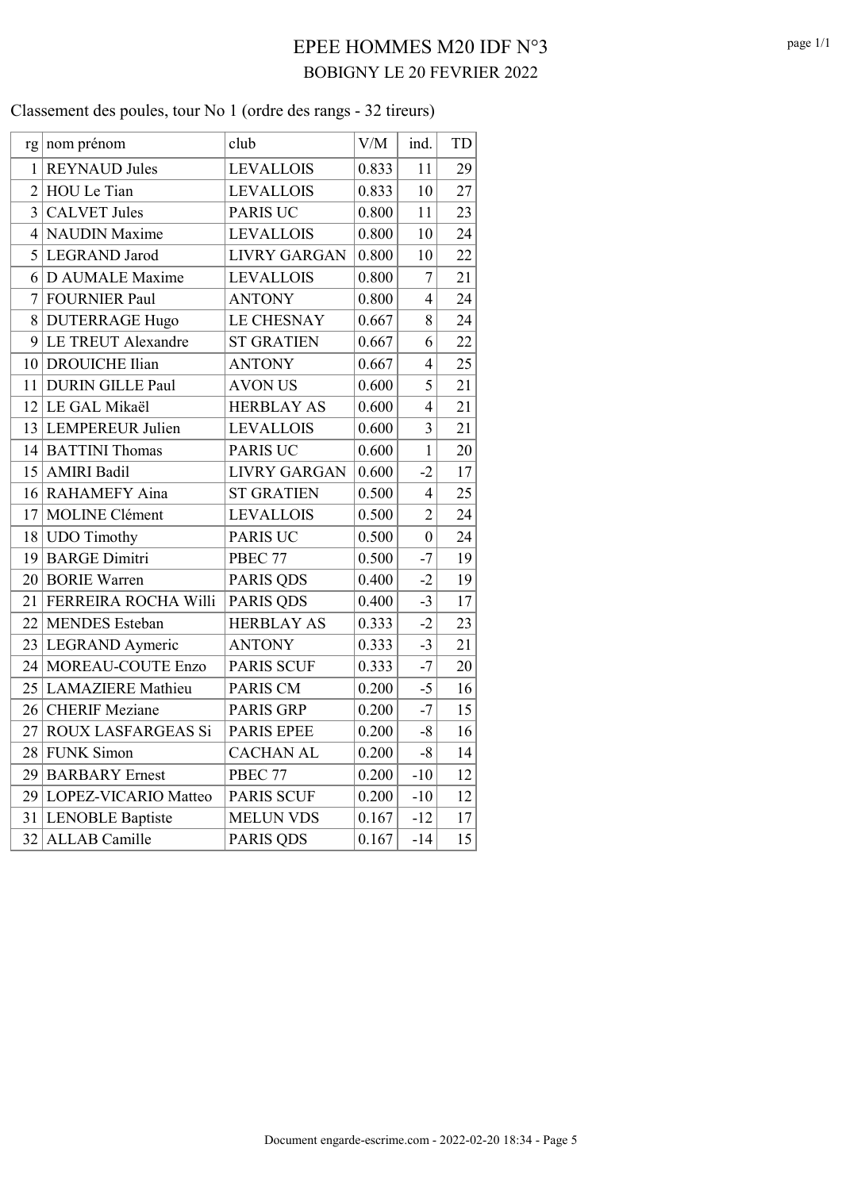## Classement des poules, tour No 1 (ordre des rangs - 32 tireurs)

| rg              | nom prénom                | club                | V/M   | ind.             | TD     |
|-----------------|---------------------------|---------------------|-------|------------------|--------|
| 1               | <b>REYNAUD Jules</b>      | <b>LEVALLOIS</b>    | 0.833 | 11               | 29     |
| $\overline{2}$  | HOU Le Tian               | <b>LEVALLOIS</b>    | 0.833 | 10               | 27     |
| $\overline{3}$  | <b>CALVET Jules</b>       | <b>PARIS UC</b>     | 0.800 | 11               | 23     |
| $\overline{4}$  | <b>NAUDIN</b> Maxime      | <b>LEVALLOIS</b>    | 0.800 | 10               | 24     |
| 5               | <b>LEGRAND</b> Jarod      | <b>LIVRY GARGAN</b> | 0.800 | 10               | 22     |
| 6               | D AUMALE Maxime           | <b>LEVALLOIS</b>    | 0.800 | $\tau$           | 21     |
| $\overline{7}$  | <b>FOURNIER Paul</b>      | <b>ANTONY</b>       | 0.800 | $\overline{4}$   | 24     |
| 8               | <b>DUTERRAGE Hugo</b>     | <b>LE CHESNAY</b>   | 0.667 | 8                | 24     |
| 9               | <b>LE TREUT Alexandre</b> | <b>ST GRATIEN</b>   | 0.667 | 6                | 22     |
|                 | 10 DROUICHE Ilian         | <b>ANTONY</b>       | 0.667 | $\overline{4}$   | 25     |
| 11              | <b>DURIN GILLE Paul</b>   | <b>AVON US</b>      | 0.600 | 5                | 21     |
| 12              | LE GAL Mikaël             | <b>HERBLAY AS</b>   | 0.600 | $\overline{4}$   | 21     |
| 13              | <b>LEMPEREUR Julien</b>   | <b>LEVALLOIS</b>    | 0.600 | $\overline{3}$   | 21     |
|                 | 14 BATTINI Thomas         | <b>PARIS UC</b>     | 0.600 | $\mathbf{1}$     | $20\,$ |
| 15              | <b>AMIRI Badil</b>        | <b>LIVRY GARGAN</b> | 0.600 | $-2$             | 17     |
| 16 <sup>2</sup> | <b>RAHAMEFY Aina</b>      | <b>ST GRATIEN</b>   | 0.500 | $\overline{4}$   | 25     |
| 17              | <b>MOLINE Clément</b>     | <b>LEVALLOIS</b>    | 0.500 | $\overline{2}$   | 24     |
| 18              | <b>UDO</b> Timothy        | <b>PARIS UC</b>     | 0.500 | $\boldsymbol{0}$ | 24     |
| 19              | <b>BARGE Dimitri</b>      | PBEC 77             | 0.500 | $-7$             | 19     |
| 20              | <b>BORIE Warren</b>       | PARIS QDS           | 0.400 | $-2$             | 19     |
| 21              | FERREIRA ROCHA Willi      | PARIS QDS           | 0.400 | $-3$             | 17     |
| 22              | <b>MENDES</b> Esteban     | <b>HERBLAY AS</b>   | 0.333 | $-2$             | 23     |
| 23              | LEGRAND Aymeric           | <b>ANTONY</b>       | 0.333 | $-3$             | 21     |
| 24              | MOREAU-COUTE Enzo         | <b>PARIS SCUF</b>   | 0.333 | $-7$             | 20     |
| 25              | <b>LAMAZIERE</b> Mathieu  | PARIS CM            | 0.200 | $-5$             | 16     |
| 26              | <b>CHERIF Meziane</b>     | <b>PARIS GRP</b>    | 0.200 | $-7$             | 15     |
| 27              | <b>ROUX LASFARGEAS Si</b> | <b>PARIS EPEE</b>   | 0.200 | $-8$             | 16     |
| 28              | <b>FUNK Simon</b>         | <b>CACHAN AL</b>    | 0.200 | $-8$             | 14     |
| 29              | <b>BARBARY</b> Ernest     | PBEC 77             | 0.200 | $-10$            | 12     |
| 29              | LOPEZ-VICARIO Matteo      | <b>PARIS SCUF</b>   | 0.200 | $-10$            | 12     |
| 31              | <b>LENOBLE Baptiste</b>   | <b>MELUN VDS</b>    | 0.167 | $-12$            | 17     |
| 32              | <b>ALLAB</b> Camille      | <b>PARIS QDS</b>    | 0.167 | $-14$            | 15     |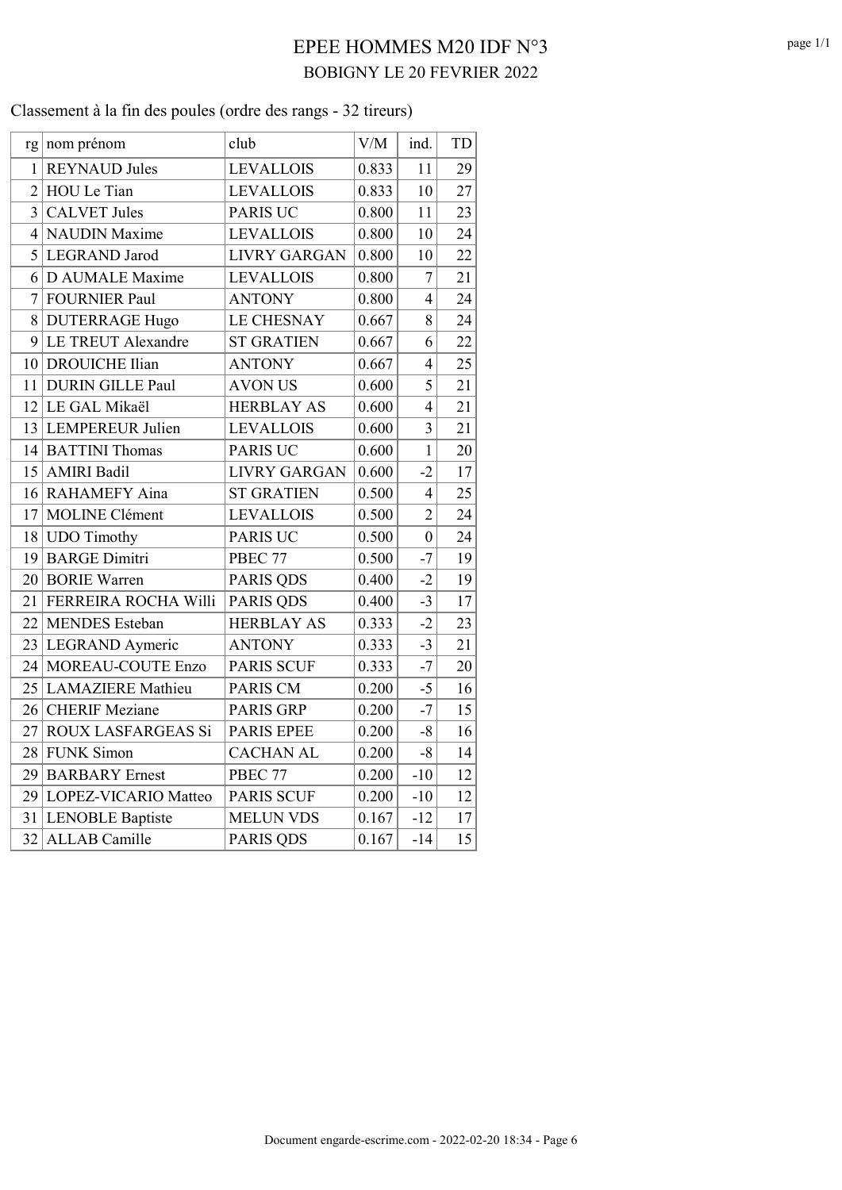## Classement à la fin des poules (ordre des rangs - 32 tireurs)

| rg             | nom prénom               | club                | $\rm V/M$ | ind.             | TD |
|----------------|--------------------------|---------------------|-----------|------------------|----|
| 1              | <b>REYNAUD Jules</b>     | <b>LEVALLOIS</b>    | 0.833     | 11               | 29 |
| $\overline{2}$ | HOU Le Tian              | <b>LEVALLOIS</b>    | 0.833     | 10               | 27 |
| $\overline{3}$ | <b>CALVET</b> Jules      | <b>PARIS UC</b>     | 0.800     | 11               | 23 |
|                | 4 NAUDIN Maxime          | <b>LEVALLOIS</b>    | 0.800     | 10               | 24 |
| 5              | LEGRAND Jarod            | <b>LIVRY GARGAN</b> | 0.800     | 10               | 22 |
|                | 6 D AUMALE Maxime        | <b>LEVALLOIS</b>    | 0.800     | $\overline{7}$   | 21 |
| $\tau$         | <b>FOURNIER Paul</b>     | <b>ANTONY</b>       | 0.800     | $\overline{4}$   | 24 |
| 8              | <b>DUTERRAGE Hugo</b>    | <b>LE CHESNAY</b>   | 0.667     | 8                | 24 |
|                | 9 LE TREUT Alexandre     | <b>ST GRATIEN</b>   | 0.667     | 6                | 22 |
|                | 10 DROUICHE Ilian        | <b>ANTONY</b>       | 0.667     | $\overline{4}$   | 25 |
| 11             | <b>DURIN GILLE Paul</b>  | <b>AVON US</b>      | 0.600     | 5                | 21 |
| 12             | LE GAL Mikaël            | <b>HERBLAY AS</b>   | 0.600     | $\overline{4}$   | 21 |
|                | 13 LEMPEREUR Julien      | <b>LEVALLOIS</b>    | 0.600     | $\overline{3}$   | 21 |
|                | 14 BATTINI Thomas        | <b>PARIS UC</b>     | 0.600     | $\mathbf{1}$     | 20 |
| 15             | <b>AMIRI Badil</b>       | <b>LIVRY GARGAN</b> | 0.600     | $-2$             | 17 |
|                | 16 RAHAMEFY Aina         | <b>ST GRATIEN</b>   | 0.500     | $\overline{4}$   | 25 |
| 17             | <b>MOLINE Clément</b>    | <b>LEVALLOIS</b>    | 0.500     | $\overline{2}$   | 24 |
| 18             | <b>UDO</b> Timothy       | PARIS UC            | 0.500     | $\boldsymbol{0}$ | 24 |
| 19             | <b>BARGE Dimitri</b>     | PBEC 77             | 0.500     | $-7$             | 19 |
| 20             | <b>BORIE Warren</b>      | PARIS QDS           | 0.400     | $-2$             | 19 |
| 21             | FERREIRA ROCHA Willi     | PARIS QDS           | 0.400     | $-3$             | 17 |
| 22             | MENDES Esteban           | <b>HERBLAY AS</b>   | 0.333     | $-2$             | 23 |
| 23             | LEGRAND Aymeric          | <b>ANTONY</b>       | 0.333     | $-3$             | 21 |
| 24             | MOREAU-COUTE Enzo        | <b>PARIS SCUF</b>   | 0.333     | $-7$             | 20 |
| 25             | <b>LAMAZIERE</b> Mathieu | PARIS CM            | 0.200     | $-5$             | 16 |
|                | 26 CHERIF Meziane        | <b>PARIS GRP</b>    | 0.200     | $-7$             | 15 |
| 27             | ROUX LASFARGEAS Si       | PARIS EPEE          | 0.200     | $-8$             | 16 |
| 28             | <b>FUNK Simon</b>        | <b>CACHAN AL</b>    | 0.200     | $-8$             | 14 |
| 29             | <b>BARBARY</b> Ernest    | PBEC 77             | 0.200     | $-10$            | 12 |
| 29             | LOPEZ-VICARIO Matteo     | <b>PARIS SCUF</b>   | 0.200     | $-10$            | 12 |
| 31             | <b>LENOBLE Baptiste</b>  | <b>MELUN VDS</b>    | 0.167     | $-12$            | 17 |
| 32             | <b>ALLAB</b> Camille     | PARIS QDS           | 0.167     | $-14$            | 15 |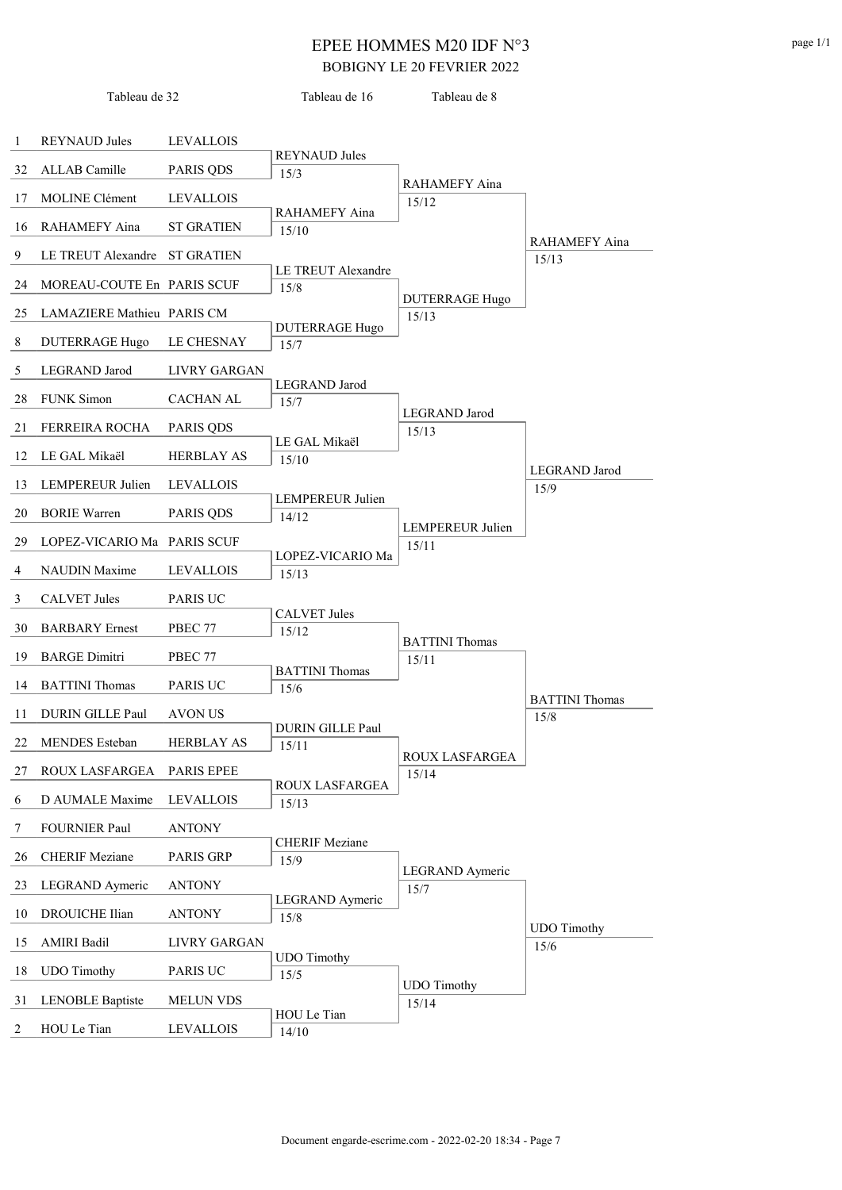1 REYNAUD Jules LEVALLOIS Tableau de 32 32 ALLAB Camille PARIS QDS  $\sqrt{15/3}$ 17 MOLINE Clément LEVALLOIS 16 RAHAMEFY Aina ST GRATIEN  $\frac{15}{10}$ 9 LE TREUT Alexandre ST GRATIEN 24 MOREAU-COUTE En PARIS SCUF  $\sqrt{15/8}$ 25 LAMAZIERE Mathieu PARIS CM 8 DUTERRAGE Hugo LE CHESNAY  $\sqrt{15/7}$ 5 LEGRAND Jarod LIVRY GARGAN 28 FUNK Simon CACHAN AL  $\sqrt{15/7}$ 21 FERREIRA ROCHA PARIS QDS 12 LE GAL Mikaël HERBLAY AS  $\sqrt{15/10}$ 13 LEMPEREUR Julien LEVALLOIS 20 BORIE Warren PARIS QDS  $\sqrt{14/12}$ 29 LOPEZ-VICARIO Ma PARIS SCUF 4 NAUDIN Maxime LEVALLOIS 15/13 3 CALVET Jules PARIS UC 30 BARBARY Ernest PBEC 77  $\sqrt{15/12}$ 19 BARGE Dimitri PBEC 77 14 BATTINI Thomas PARIS UC  $\sqrt{15/6}$ 11 DURIN GILLE Paul AVON US 22 MENDES Esteban HERBLAY AS 15/11 27 ROUX LASFARGEA PARIS EPEE 6 D AUMALE Maxime LEVALLOIS  $\sqrt{15/13}$ 7 FOURNIER Paul ANTONY 26 CHERIF Meziane PARIS GRP  $\sqrt{\frac{15}{9}}$ 23 LEGRAND Aymeric ANTONY 10 DROUICHE Ilian ANTONY  $\sqrt{15/8}$ 15 AMIRI Badil LIVRY GARGAN 18 UDO Timothy PARIS UC  $\sqrt{15/5}$ 31 LENOBLE Baptiste MELUN VDS 2 HOU Le Tian LEVALLOIS  $\sqrt{14/10}$ REYNAUD Jules Tableau de 16 RAHAMEFY Aina 15/12 LE TREUT Alexandre DUTERRAGE Hugo 15/13 LEGRAND Jarod LE GAL Mikaël 15/13 LEMPEREUR Julien LOPEZ-VICARIO Ma 15/11 CALVET Jules BATTINI Thomas 15/11 DURIN GILLE Paul ROUX LASFARGEA 15/14 CHERIF Meziane LEGRAND Aymeric 15/7 UDO Timothy HOU Le Tian 15/14 RAHAMEFY Aina Tableau de 8 DUTERRAGE Hugo 15/13 LEGRAND Jarod LEMPEREUR Julien 15/9 BATTINI Thomas ROUX LASFARGEA 15/8 LEGRAND Aymeric UDO Timothy 15/6 RAHAMEFY Aina LEGRAND Jarod BATTINI Thomas UDO Timothy

Document engarde-escrime.com - 2022-02-20 18:34 - Page 7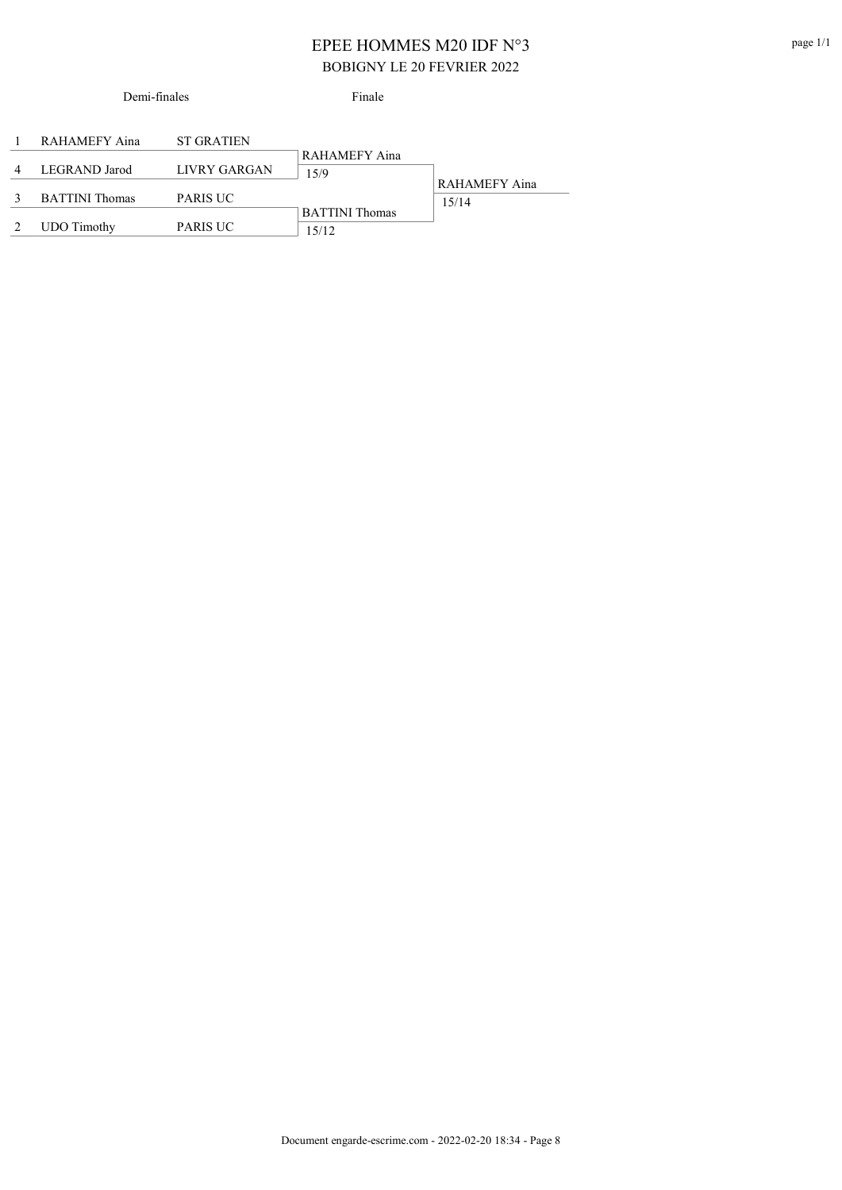Demi-finales

Finale

| RAHAMEFY Aina         | <b>ST GRATIEN</b> |                       |               |
|-----------------------|-------------------|-----------------------|---------------|
|                       |                   | RAHAMEFY Aina         |               |
| LEGRAND Jarod         | LIVRY GARGAN      | 15/9                  |               |
|                       |                   |                       | RAHAMEFY Aina |
| <b>BATTINI</b> Thomas | <b>PARIS UC</b>   |                       | 15/14         |
|                       |                   | <b>BATTINI</b> Thomas |               |
| <b>UDO</b> Timothy    | PARIS UC          | 15/12                 |               |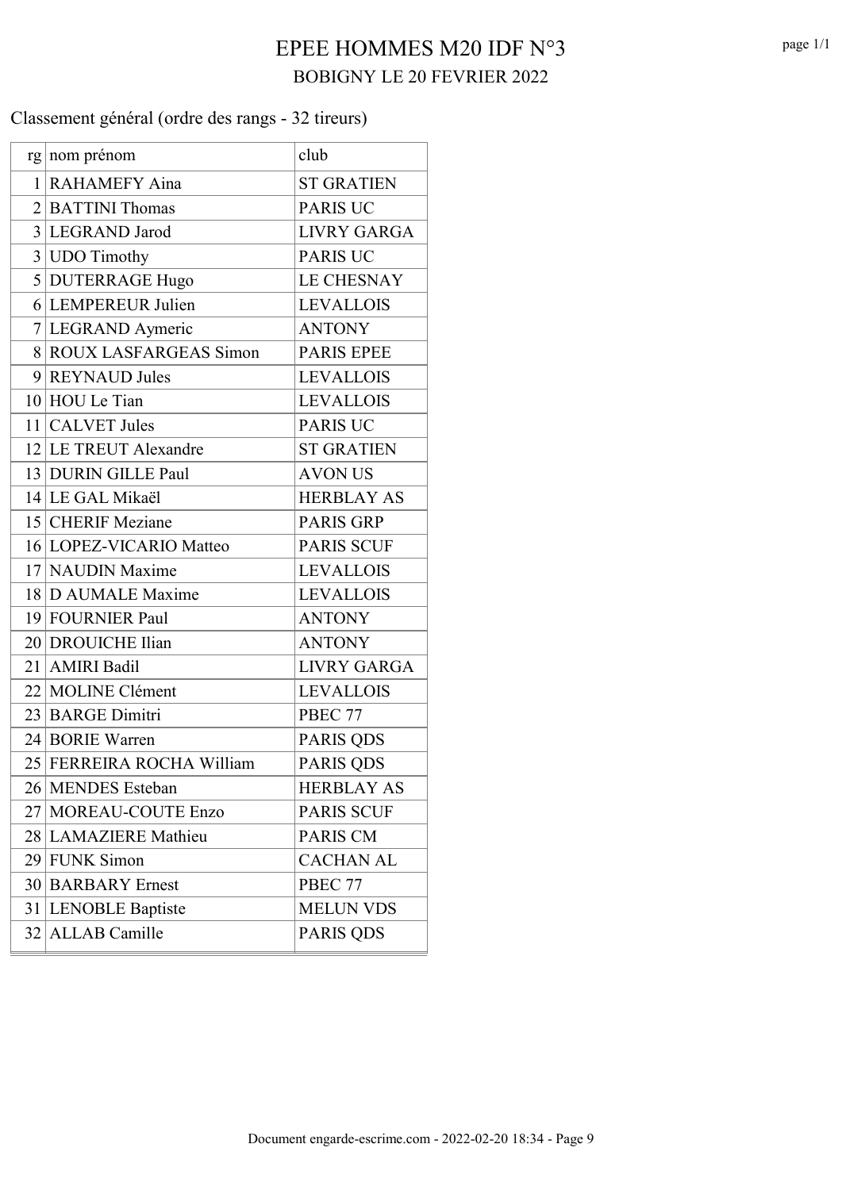## Classement général (ordre des rangs - 32 tireurs)

| $rg nom$ prénom           | club               |
|---------------------------|--------------------|
| 1 RAHAMEFY Aina           | <b>ST GRATIEN</b>  |
| $2$ BATTINI Thomas        | <b>PARIS UC</b>    |
| 3 LEGRAND Jarod           | <b>LIVRY GARGA</b> |
| 3 UDO Timothy             | <b>PARIS UC</b>    |
| 5 DUTERRAGE Hugo          | <b>LE CHESNAY</b>  |
| 6 LEMPEREUR Julien        | <b>LEVALLOIS</b>   |
| 7 LEGRAND Aymeric         | <b>ANTONY</b>      |
| 8 ROUX LASFARGEAS Simon   | <b>PARIS EPEE</b>  |
| 9 REYNAUD Jules           | <b>LEVALLOIS</b>   |
| 10 HOU Le Tian            | <b>LEVALLOIS</b>   |
| 11 CALVET Jules           | <b>PARIS UC</b>    |
| 12 LE TREUT Alexandre     | <b>ST GRATIEN</b>  |
| 13 DURIN GILLE Paul       | <b>AVON US</b>     |
| 14 LE GAL Mikaël          | <b>HERBLAY AS</b>  |
| 15 CHERIF Meziane         | <b>PARIS GRP</b>   |
| 16 LOPEZ-VICARIO Matteo   | <b>PARIS SCUF</b>  |
| 17 NAUDIN Maxime          | <b>LEVALLOIS</b>   |
| 18 D AUMALE Maxime        | <b>LEVALLOIS</b>   |
| 19 FOURNIER Paul          | <b>ANTONY</b>      |
| 20 DROUICHE Ilian         | <b>ANTONY</b>      |
| 21   AMIRI Badil          | <b>LIVRY GARGA</b> |
| 22 MOLINE Clément         | <b>LEVALLOIS</b>   |
| 23 BARGE Dimitri          | PBEC 77            |
| 24 BORIE Warren           | <b>PARIS QDS</b>   |
| 25 FERREIRA ROCHA William | <b>PARIS QDS</b>   |
| 26 MENDES Esteban         | <b>HERBLAY AS</b>  |
| 27 MOREAU-COUTE Enzo      | <b>PARIS SCUF</b>  |
| 28 LAMAZIERE Mathieu      | PARIS CM           |
| 29 FUNK Simon             | <b>CACHAN AL</b>   |
| 30 BARBARY Ernest         | <b>PBEC 77</b>     |
| 31 LENOBLE Baptiste       | <b>MELUN VDS</b>   |
| 32 ALLAB Camille          | PARIS QDS          |
|                           |                    |